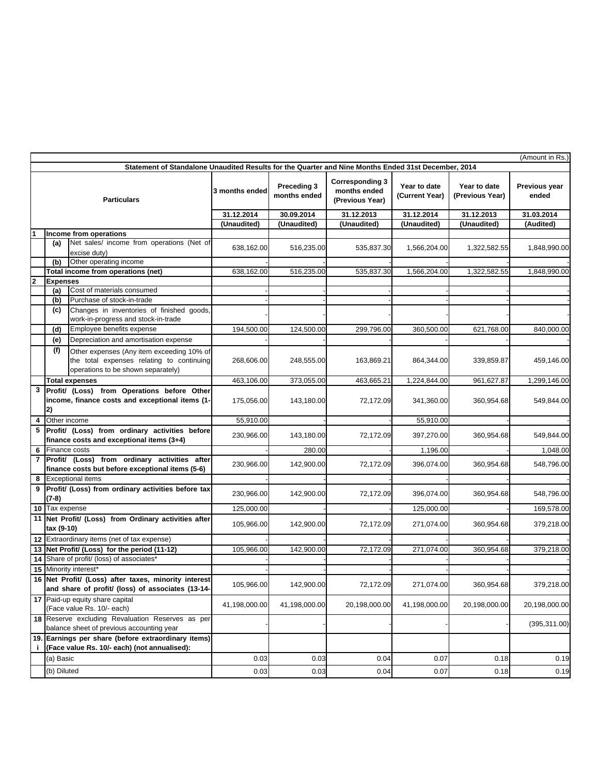| (Amount in Rs.)                                                                                     |                        |                                                                                                                              |                |                             |                                                           |                                |                                 |                        |  |
|-----------------------------------------------------------------------------------------------------|------------------------|------------------------------------------------------------------------------------------------------------------------------|----------------|-----------------------------|-----------------------------------------------------------|--------------------------------|---------------------------------|------------------------|--|
| Statement of Standalone Unaudited Results for the Quarter and Nine Months Ended 31st December, 2014 |                        |                                                                                                                              |                |                             |                                                           |                                |                                 |                        |  |
| <b>Particulars</b>                                                                                  |                        |                                                                                                                              | 3 months ended | Preceding 3<br>months ended | <b>Corresponding 3</b><br>months ended<br>(Previous Year) | Year to date<br>(Current Year) | Year to date<br>(Previous Year) | Previous year<br>ended |  |
|                                                                                                     |                        |                                                                                                                              | 31.12.2014     | 30.09.2014                  | 31.12.2013                                                | 31.12.2014                     | 31.12.2013                      | 31.03.2014             |  |
|                                                                                                     |                        |                                                                                                                              | (Unaudited)    | (Unaudited)                 | (Unaudited)                                               | (Unaudited)                    | (Unaudited)                     | (Audited)              |  |
|                                                                                                     | Income from operations |                                                                                                                              |                |                             |                                                           |                                |                                 |                        |  |
|                                                                                                     | (a)                    | Net sales/ income from operations (Net of<br>excise duty)                                                                    | 638,162.00     | 516,235.00                  | 535,837.30                                                | 1,566,204.00                   | 1,322,582.55                    | 1,848,990.00           |  |
|                                                                                                     | (b)                    | Other operating income                                                                                                       |                |                             |                                                           |                                |                                 |                        |  |
|                                                                                                     |                        | Total income from operations (net)                                                                                           | 638,162.00     | 516,235.00                  | 535,837.30                                                | 1,566,204.00                   | 1,322,582.55                    | 1,848,990.00           |  |
| $\mathbf{2}$                                                                                        | <b>Expenses</b>        |                                                                                                                              |                |                             |                                                           |                                |                                 |                        |  |
|                                                                                                     | (a)                    | Cost of materials consumed                                                                                                   |                |                             |                                                           |                                |                                 |                        |  |
|                                                                                                     | (b)                    | Purchase of stock-in-trade                                                                                                   |                |                             |                                                           |                                |                                 |                        |  |
|                                                                                                     | (c)                    | Changes in inventories of finished goods,<br>work-in-progress and stock-in-trade                                             |                |                             |                                                           |                                |                                 |                        |  |
|                                                                                                     | (d)                    | Employee benefits expense                                                                                                    | 194,500.00     | 124,500.00                  | 299,796.00                                                | 360,500.00                     | 621,768.00                      | 840,000.00             |  |
|                                                                                                     | (e)                    | Depreciation and amortisation expense                                                                                        |                |                             |                                                           |                                |                                 |                        |  |
|                                                                                                     | (f)                    | Other expenses (Any item exceeding 10% of<br>the total expenses relating to continuing<br>operations to be shown separately) | 268,606.00     | 248,555.00                  | 163,869.21                                                | 864,344.00                     | 339,859.87                      | 459,146.00             |  |
|                                                                                                     |                        | <b>Total expenses</b>                                                                                                        | 463,106.00     | 373,055.00                  | 463,665.21                                                | 1,224,844.00                   | 961,627.87                      | 1,299,146.00           |  |
| 3                                                                                                   |                        | Profit/ (Loss) from Operations before Other                                                                                  |                |                             |                                                           |                                |                                 |                        |  |
|                                                                                                     | 2)                     | income, finance costs and exceptional items (1-                                                                              | 175,056.00     | 143,180.00                  | 72,172.09                                                 | 341,360.00                     | 360,954.68                      | 549,844.00             |  |
| 4                                                                                                   | Other income           |                                                                                                                              | 55,910.00      |                             |                                                           | 55,910.00                      |                                 |                        |  |
| 5                                                                                                   |                        | Profit/ (Loss) from ordinary activities before<br>finance costs and exceptional items (3+4)                                  | 230,966.00     | 143,180.00                  | 72,172.09                                                 | 397,270.00                     | 360,954.68                      | 549,844.00             |  |
| 6                                                                                                   | Finance costs          |                                                                                                                              |                | 280.00                      |                                                           | 1,196.00                       |                                 | 1,048.00               |  |
| $\overline{7}$                                                                                      |                        | Profit/ (Loss) from ordinary activities<br>after                                                                             |                |                             |                                                           |                                |                                 |                        |  |
|                                                                                                     |                        | finance costs but before exceptional items (5-6)                                                                             | 230,966.00     | 142,900.00                  | 72,172.09                                                 | 396,074.00                     | 360,954.68                      | 548,796.00             |  |
| 8                                                                                                   |                        | <b>Exceptional items</b>                                                                                                     |                |                             |                                                           |                                |                                 |                        |  |
| 9                                                                                                   | (7-8)                  | Profit/ (Loss) from ordinary activities before tax                                                                           | 230,966.00     | 142,900.00                  | 72,172.09                                                 | 396,074.00                     | 360,954.68                      | 548,796.00             |  |
|                                                                                                     | 10 Tax expense         |                                                                                                                              | 125,000.00     |                             |                                                           | 125,000.00                     |                                 | 169,578.00             |  |
|                                                                                                     | tax (9-10)             | 11 Net Profit/ (Loss) from Ordinary activities after                                                                         | 105,966.00     | 142,900.00                  | 72,172.09                                                 | 271,074.00                     | 360,954.68                      | 379,218.00             |  |
|                                                                                                     |                        | 12 Extraordinary items (net of tax expense)                                                                                  |                |                             |                                                           |                                |                                 |                        |  |
|                                                                                                     |                        | 13 Net Profit/ (Loss) for the period (11-12)                                                                                 | 105,966.00     | 142,900.00                  | 72,172.09                                                 | 271,074.00                     | 360,954.68                      | 379,218.00             |  |
|                                                                                                     |                        | 14 Share of profit/ (loss) of associates*                                                                                    |                |                             |                                                           |                                |                                 |                        |  |
|                                                                                                     |                        | 15 Minority interest*                                                                                                        |                |                             |                                                           |                                |                                 |                        |  |
|                                                                                                     |                        | 16 Net Profit/ (Loss) after taxes, minority interest                                                                         |                |                             |                                                           |                                |                                 |                        |  |
|                                                                                                     |                        | and share of profit/ (loss) of associates (13-14-<br>17 Paid-up equity share capital                                         | 105,966.00     | 142,900.00                  | 72,172.09                                                 | 271,074.00                     | 360.954.68                      | 379,218.00             |  |
|                                                                                                     |                        | (Face value Rs. 10/- each)                                                                                                   | 41,198,000.00  | 41,198,000.00               | 20,198,000.00                                             | 41,198,000.00                  | 20.198.000.00                   | 20,198,000.00          |  |
|                                                                                                     |                        | 18 Reserve excluding Revaluation Reserves as per<br>balance sheet of previous accounting year                                |                |                             |                                                           |                                |                                 | (395, 311.00)          |  |
| j.                                                                                                  |                        | 19. Earnings per share (before extraordinary items)<br>(Face value Rs. 10/- each) (not annualised):                          |                |                             |                                                           |                                |                                 |                        |  |
|                                                                                                     | (a) Basic              |                                                                                                                              | 0.03           | 0.03                        | 0.04                                                      | 0.07                           | 0.18                            | 0.19                   |  |
|                                                                                                     | (b) Diluted            |                                                                                                                              | 0.03           | 0.03                        | 0.04                                                      | 0.07                           | 0.18                            | 0.19                   |  |
|                                                                                                     |                        |                                                                                                                              |                |                             |                                                           |                                |                                 |                        |  |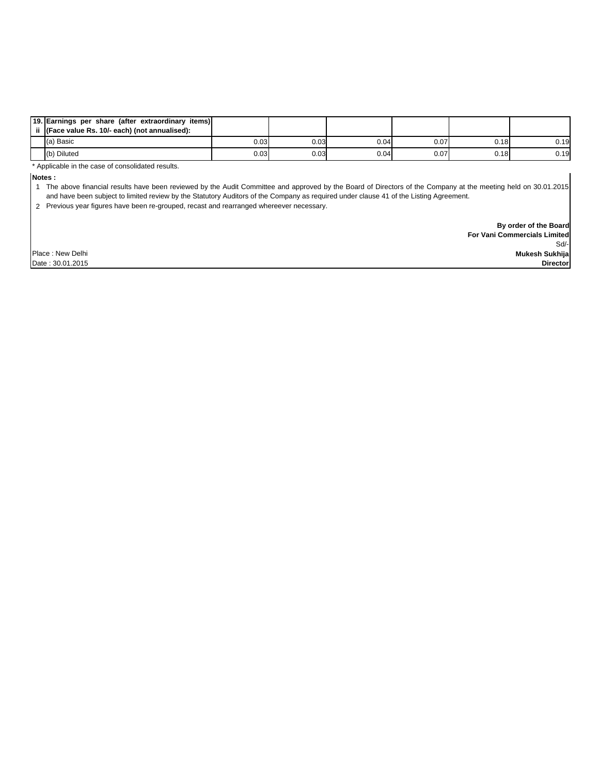| 19. Earnings per share (after extraordinary items)<br>ii (Face value Rs. 10/- each) (not annualised): |      |      |      |      |      |      |
|-------------------------------------------------------------------------------------------------------|------|------|------|------|------|------|
| (a) Basic                                                                                             | 0.03 | 0.03 | 0.04 | 0.07 | 0.18 | 0.19 |
| (b) Diluted                                                                                           | 0.03 | 0.03 | 0.04 | 0.07 | 0.18 | 0.19 |

\* Applicable in the case of consolidated results.

**Notes :**

1 The above financial results have been reviewed by the Audit Committee and approved by the Board of Directors of the Company at the meeting held on 30.01.2015 and have been subject to limited review by the Statutory Auditors of the Company as required under clause 41 of the Listing Agreement.

2 Previous year figures have been re-grouped, recast and rearranged whereever necessary.

Sd/-  **By order of the Board For Vani Commercials Limited Mukesh Sukhija Director**

Place : New Delhi

Date : 30.01.2015